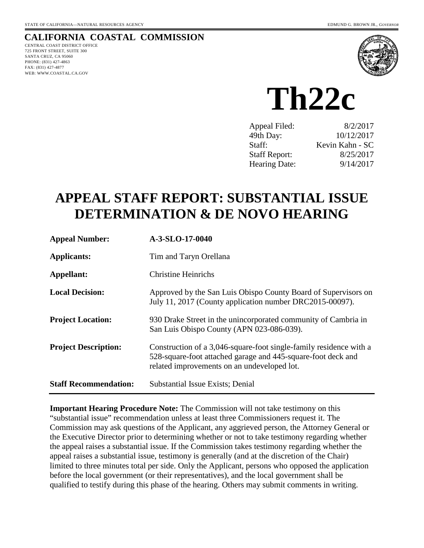## **CALIFORNIA COASTAL COMMISSION**

CENTRAL COAST DISTRICT OFFICE 725 FRONT STREET, SUITE 300 SANTA CRUZ, CA 95060 PHONE: (831) 427-4863 FAX: (831) 427-4877 WEB: WWW.COASTAL.CA.GOV



**Th22c** 

| Appeal Filed:        | 8/2/2017        |
|----------------------|-----------------|
| 49th Day:            | 10/12/2017      |
| Staff:               | Kevin Kahn - SC |
| <b>Staff Report:</b> | 8/25/2017       |
| <b>Hearing Date:</b> | 9/14/2017       |

# **APPEAL STAFF REPORT: SUBSTANTIAL ISSUE DETERMINATION & DE NOVO HEARING**

| <b>Appeal Number:</b>        | A-3-SLO-17-0040                                                                                                                                                                   |
|------------------------------|-----------------------------------------------------------------------------------------------------------------------------------------------------------------------------------|
| Applicants:                  | Tim and Taryn Orellana                                                                                                                                                            |
| Appellant:                   | <b>Christine Heinrichs</b>                                                                                                                                                        |
| <b>Local Decision:</b>       | Approved by the San Luis Obispo County Board of Supervisors on<br>July 11, 2017 (County application number DRC2015-00097).                                                        |
| <b>Project Location:</b>     | 930 Drake Street in the unincorporated community of Cambria in<br>San Luis Obispo County (APN 023-086-039).                                                                       |
| <b>Project Description:</b>  | Construction of a 3,046-square-foot single-family residence with a<br>528-square-foot attached garage and 445-square-foot deck and<br>related improvements on an undeveloped lot. |
| <b>Staff Recommendation:</b> | Substantial Issue Exists; Denial                                                                                                                                                  |

**Important Hearing Procedure Note:** The Commission will not take testimony on this "substantial issue" recommendation unless at least three Commissioners request it. The Commission may ask questions of the Applicant, any aggrieved person, the Attorney General or the Executive Director prior to determining whether or not to take testimony regarding whether the appeal raises a substantial issue. If the Commission takes testimony regarding whether the appeal raises a substantial issue, testimony is generally (and at the discretion of the Chair) limited to three minutes total per side. Only the Applicant, persons who opposed the application before the local government (or their representatives), and the local government shall be qualified to testify during this phase of the hearing. Others may submit comments in writing.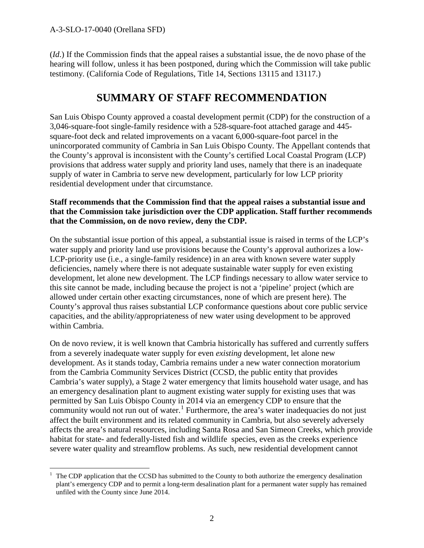(*Id*.) If the Commission finds that the appeal raises a substantial issue, the de novo phase of the hearing will follow, unless it has been postponed, during which the Commission will take public testimony. (California Code of Regulations, Title 14, Sections 13115 and 13117.)

# **SUMMARY OF STAFF RECOMMENDATION**

San Luis Obispo County approved a coastal development permit (CDP) for the construction of a 3,046-square-foot single-family residence with a 528-square-foot attached garage and 445 square-foot deck and related improvements on a vacant 6,000-square-foot parcel in the unincorporated community of Cambria in San Luis Obispo County. The Appellant contends that the County's approval is inconsistent with the County's certified Local Coastal Program (LCP) provisions that address water supply and priority land uses, namely that there is an inadequate supply of water in Cambria to serve new development, particularly for low LCP priority residential development under that circumstance.

#### **Staff recommends that the Commission find that the appeal raises a substantial issue and that the Commission take jurisdiction over the CDP application. Staff further recommends that the Commission, on de novo review, deny the CDP.**

On the substantial issue portion of this appeal, a substantial issue is raised in terms of the LCP's water supply and priority land use provisions because the County's approval authorizes a low-LCP-priority use (i.e., a single-family residence) in an area with known severe water supply deficiencies, namely where there is not adequate sustainable water supply for even existing development, let alone new development. The LCP findings necessary to allow water service to this site cannot be made, including because the project is not a 'pipeline' project (which are allowed under certain other exacting circumstances, none of which are present here). The County's approval thus raises substantial LCP conformance questions about core public service capacities, and the ability/appropriateness of new water using development to be approved within Cambria.

On de novo review, it is well known that Cambria historically has suffered and currently suffers from a severely inadequate water supply for even *existing* development, let alone new development. As it stands today, Cambria remains under a new water connection moratorium from the Cambria Community Services District (CCSD, the public entity that provides Cambria's water supply), a Stage 2 water emergency that limits household water usage, and has an emergency desalination plant to augment existing water supply for existing uses that was permitted by San Luis Obispo County in 2014 via an emergency CDP to ensure that the community would not run out of water.<sup>[1](#page-1-0)</sup> Furthermore, the area's water inadequacies do not just affect the built environment and its related community in Cambria, but also severely adversely affects the area's natural resources, including Santa Rosa and San Simeon Creeks, which provide habitat for state- and federally-listed fish and wildlife species, even as the creeks experience severe water quality and streamflow problems. As such, new residential development cannot

<span id="page-1-0"></span> $\overline{a}$ 1 The CDP application that the CCSD has submitted to the County to both authorize the emergency desalination plant's emergency CDP and to permit a long-term desalination plant for a permanent water supply has remained unfiled with the County since June 2014.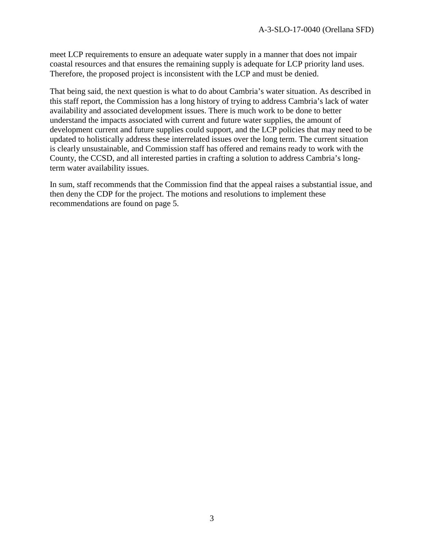meet LCP requirements to ensure an adequate water supply in a manner that does not impair coastal resources and that ensures the remaining supply is adequate for LCP priority land uses. Therefore, the proposed project is inconsistent with the LCP and must be denied.

That being said, the next question is what to do about Cambria's water situation. As described in this staff report, the Commission has a long history of trying to address Cambria's lack of water availability and associated development issues. There is much work to be done to better understand the impacts associated with current and future water supplies, the amount of development current and future supplies could support, and the LCP policies that may need to be updated to holistically address these interrelated issues over the long term. The current situation is clearly unsustainable, and Commission staff has offered and remains ready to work with the County, the CCSD, and all interested parties in crafting a solution to address Cambria's longterm water availability issues.

In sum, staff recommends that the Commission find that the appeal raises a substantial issue, and then deny the CDP for the project. The motions and resolutions to implement these recommendations are found on page 5.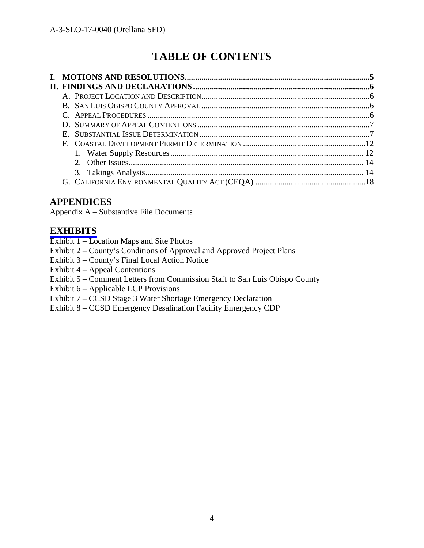# **TABLE OF CONTENTS**

# **APPENDICES**

Appendix A – Substantive File Documents

### **[EXHIBITS](https://documents.coastal.ca.gov/reports/2017/9/th22c/th22c-9-2017-exhibits.pdf)**

- Exhibit 1 Location Maps and Site Photos
- Exhibit 2 County's Conditions of Approval and Approved Project Plans
- Exhibit 3 County's Final Local Action Notice
- Exhibit 4 Appeal Contentions
- Exhibit 5 Comment Letters from Commission Staff to San Luis Obispo County
- Exhibit 6 Applicable LCP Provisions
- Exhibit 7 CCSD Stage 3 Water Shortage Emergency Declaration
- Exhibit 8 CCSD Emergency Desalination Facility Emergency CDP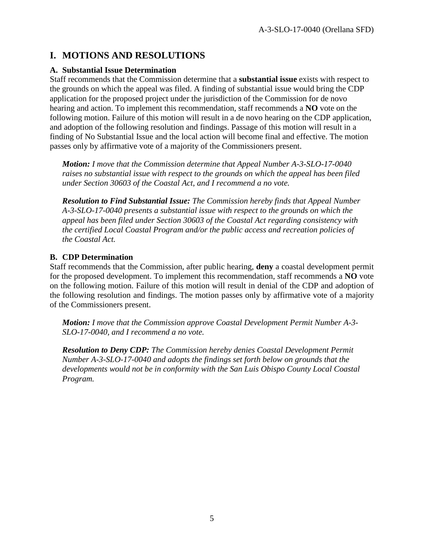# **I. MOTIONS AND RESOLUTIONS**

### **A. Substantial Issue Determination**

Staff recommends that the Commission determine that a **substantial issue** exists with respect to the grounds on which the appeal was filed. A finding of substantial issue would bring the CDP application for the proposed project under the jurisdiction of the Commission for de novo hearing and action. To implement this recommendation, staff recommends a **NO** vote on the following motion. Failure of this motion will result in a de novo hearing on the CDP application, and adoption of the following resolution and findings. Passage of this motion will result in a finding of No Substantial Issue and the local action will become final and effective. The motion passes only by affirmative vote of a majority of the Commissioners present.

*Motion: I move that the Commission determine that Appeal Number A-3-SLO-17-0040 raises no substantial issue with respect to the grounds on which the appeal has been filed under Section 30603 of the Coastal Act, and I recommend a no vote.* 

*Resolution to Find Substantial Issue: The Commission hereby finds that Appeal Number A-3-SLO-17-0040 presents a substantial issue with respect to the grounds on which the appeal has been filed under Section 30603 of the Coastal Act regarding consistency with the certified Local Coastal Program and/or the public access and recreation policies of the Coastal Act.* 

### **B. CDP Determination**

Staff recommends that the Commission, after public hearing, **deny** a coastal development permit for the proposed development. To implement this recommendation, staff recommends a **NO** vote on the following motion. Failure of this motion will result in denial of the CDP and adoption of the following resolution and findings. The motion passes only by affirmative vote of a majority of the Commissioners present.

*Motion: I move that the Commission approve Coastal Development Permit Number A-3- SLO-17-0040, and I recommend a no vote.* 

*Resolution to Deny CDP: The Commission hereby denies Coastal Development Permit Number A-3-SLO-17-0040 and adopts the findings set forth below on grounds that the developments would not be in conformity with the San Luis Obispo County Local Coastal Program.*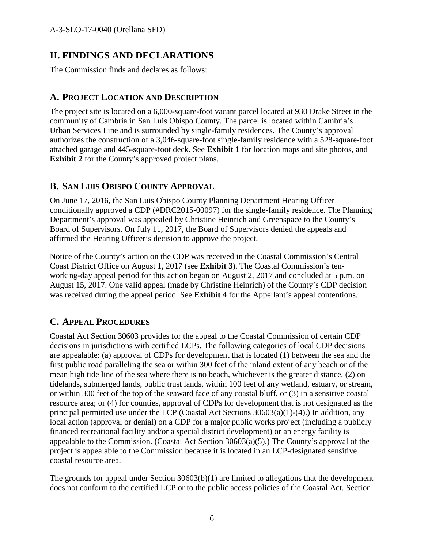# **II. FINDINGS AND DECLARATIONS**

The Commission finds and declares as follows:

# **A. PROJECT LOCATION AND DESCRIPTION**

The project site is located on a 6,000-square-foot vacant parcel located at 930 Drake Street in the community of Cambria in San Luis Obispo County. The parcel is located within Cambria's Urban Services Line and is surrounded by single-family residences. The County's approval authorizes the construction of a 3,046-square-foot single-family residence with a 528-square-foot attached garage and 445-square-foot deck. See **Exhibit 1** for location maps and site photos, and **Exhibit 2** for the County's approved project plans.

## **B. SAN LUIS OBISPO COUNTY APPROVAL**

On June 17, 2016, the San Luis Obispo County Planning Department Hearing Officer conditionally approved a CDP (#DRC2015-00097) for the single-family residence. The Planning Department's approval was appealed by Christine Heinrich and Greenspace to the County's Board of Supervisors. On July 11, 2017, the Board of Supervisors denied the appeals and affirmed the Hearing Officer's decision to approve the project.

Notice of the County's action on the CDP was received in the Coastal Commission's Central Coast District Office on August 1, 2017 (see **Exhibit 3**). The Coastal Commission's tenworking-day appeal period for this action began on August 2, 2017 and concluded at 5 p.m. on August 15, 2017. One valid appeal (made by Christine Heinrich) of the County's CDP decision was received during the appeal period. See **Exhibit 4** for the Appellant's appeal contentions.

# **C. APPEAL PROCEDURES**

Coastal Act Section 30603 provides for the appeal to the Coastal Commission of certain CDP decisions in jurisdictions with certified LCPs. The following categories of local CDP decisions are appealable: (a) approval of CDPs for development that is located (1) between the sea and the first public road paralleling the sea or within 300 feet of the inland extent of any beach or of the mean high tide line of the sea where there is no beach, whichever is the greater distance, (2) on tidelands, submerged lands, public trust lands, within 100 feet of any wetland, estuary, or stream, or within 300 feet of the top of the seaward face of any coastal bluff, or (3) in a sensitive coastal resource area; or (4) for counties, approval of CDPs for development that is not designated as the principal permitted use under the LCP (Coastal Act Sections 30603(a)(1)-(4).) In addition, any local action (approval or denial) on a CDP for a major public works project (including a publicly financed recreational facility and/or a special district development) or an energy facility is appealable to the Commission. (Coastal Act Section 30603(a)(5).) The County's approval of the project is appealable to the Commission because it is located in an LCP-designated sensitive coastal resource area.

The grounds for appeal under Section  $30603(b)(1)$  are limited to allegations that the development does not conform to the certified LCP or to the public access policies of the Coastal Act. Section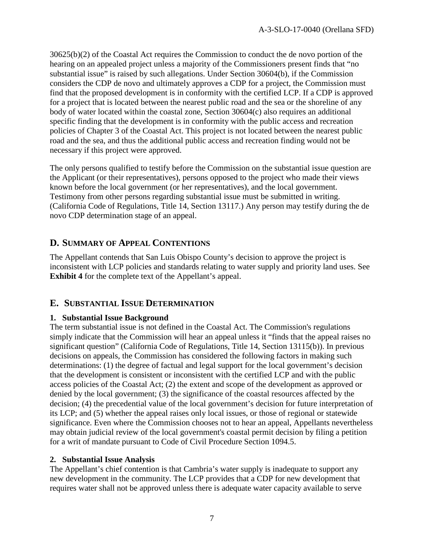30625(b)(2) of the Coastal Act requires the Commission to conduct the de novo portion of the hearing on an appealed project unless a majority of the Commissioners present finds that "no substantial issue" is raised by such allegations. Under Section 30604(b), if the Commission considers the CDP de novo and ultimately approves a CDP for a project, the Commission must find that the proposed development is in conformity with the certified LCP. If a CDP is approved for a project that is located between the nearest public road and the sea or the shoreline of any body of water located within the coastal zone, Section 30604(c) also requires an additional specific finding that the development is in conformity with the public access and recreation policies of Chapter 3 of the Coastal Act. This project is not located between the nearest public road and the sea, and thus the additional public access and recreation finding would not be necessary if this project were approved.

The only persons qualified to testify before the Commission on the substantial issue question are the Applicant (or their representatives), persons opposed to the project who made their views known before the local government (or her representatives), and the local government. Testimony from other persons regarding substantial issue must be submitted in writing. (California Code of Regulations, Title 14, Section 13117.) Any person may testify during the de novo CDP determination stage of an appeal.

## **D. SUMMARY OF APPEAL CONTENTIONS**

The Appellant contends that San Luis Obispo County's decision to approve the project is inconsistent with LCP policies and standards relating to water supply and priority land uses. See **Exhibit 4** for the complete text of the Appellant's appeal.

### **E. SUBSTANTIAL ISSUE DETERMINATION**

#### **1. Substantial Issue Background**

The term substantial issue is not defined in the Coastal Act. The Commission's regulations simply indicate that the Commission will hear an appeal unless it "finds that the appeal raises no significant question" (California Code of Regulations, Title 14, Section 13115(b)). In previous decisions on appeals, the Commission has considered the following factors in making such determinations: (1) the degree of factual and legal support for the local government's decision that the development is consistent or inconsistent with the certified LCP and with the public access policies of the Coastal Act; (2) the extent and scope of the development as approved or denied by the local government; (3) the significance of the coastal resources affected by the decision; (4) the precedential value of the local government's decision for future interpretation of its LCP; and (5) whether the appeal raises only local issues, or those of regional or statewide significance. Even where the Commission chooses not to hear an appeal, Appellants nevertheless may obtain judicial review of the local government's coastal permit decision by filing a petition for a writ of mandate pursuant to Code of Civil Procedure Section 1094.5.

#### **2. Substantial Issue Analysis**

The Appellant's chief contention is that Cambria's water supply is inadequate to support any new development in the community. The LCP provides that a CDP for new development that requires water shall not be approved unless there is adequate water capacity available to serve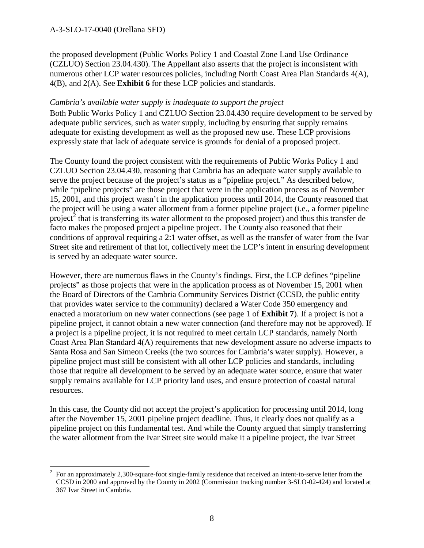the proposed development (Public Works Policy 1 and Coastal Zone Land Use Ordinance (CZLUO) Section 23.04.430). The Appellant also asserts that the project is inconsistent with numerous other LCP water resources policies, including North Coast Area Plan Standards 4(A), 4(B), and 2(A). See **Exhibit 6** for these LCP policies and standards.

#### *Cambria's available water supply is inadequate to support the project*

Both Public Works Policy 1 and CZLUO Section 23.04.430 require development to be served by adequate public services, such as water supply, including by ensuring that supply remains adequate for existing development as well as the proposed new use. These LCP provisions expressly state that lack of adequate service is grounds for denial of a proposed project.

The County found the project consistent with the requirements of Public Works Policy 1 and CZLUO Section 23.04.430, reasoning that Cambria has an adequate water supply available to serve the project because of the project's status as a "pipeline project." As described below, while "pipeline projects" are those project that were in the application process as of November 15, 2001, and this project wasn't in the application process until 2014, the County reasoned that the project will be using a water allotment from a former pipeline project (i.e., a former pipeline project<sup>[2](#page-7-0)</sup> that is transferring its water allotment to the proposed project) and thus this transfer de facto makes the proposed project a pipeline project. The County also reasoned that their conditions of approval requiring a 2:1 water offset, as well as the transfer of water from the Ivar Street site and retirement of that lot, collectively meet the LCP's intent in ensuring development is served by an adequate water source.

However, there are numerous flaws in the County's findings. First, the LCP defines "pipeline projects" as those projects that were in the application process as of November 15, 2001 when the Board of Directors of the Cambria Community Services District (CCSD, the public entity that provides water service to the community) declared a Water Code 350 emergency and enacted a moratorium on new water connections (see page 1 of **Exhibit 7**). If a project is not a pipeline project, it cannot obtain a new water connection (and therefore may not be approved). If a project is a pipeline project, it is not required to meet certain LCP standards, namely North Coast Area Plan Standard 4(A) requirements that new development assure no adverse impacts to Santa Rosa and San Simeon Creeks (the two sources for Cambria's water supply). However, a pipeline project must still be consistent with all other LCP policies and standards, including those that require all development to be served by an adequate water source, ensure that water supply remains available for LCP priority land uses, and ensure protection of coastal natural resources.

In this case, the County did not accept the project's application for processing until 2014, long after the November 15, 2001 pipeline project deadline. Thus, it clearly does not qualify as a pipeline project on this fundamental test. And while the County argued that simply transferring the water allotment from the Ivar Street site would make it a pipeline project, the Ivar Street

<span id="page-7-0"></span> $\overline{a}$ 2 For an approximately 2,300-square-foot single-family residence that received an intent-to-serve letter from the CCSD in 2000 and approved by the County in 2002 (Commission tracking number 3-SLO-02-424) and located at 367 Ivar Street in Cambria.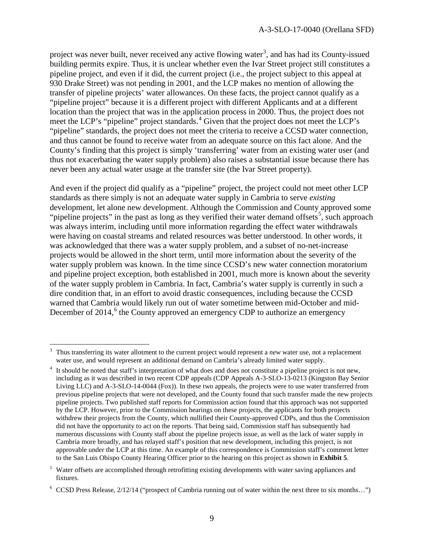project was never built, never received any active flowing water<sup>[3](#page-8-0)</sup>, and has had its County-issued building permits expire. Thus, it is unclear whether even the Ivar Street project still constitutes a pipeline project, and even if it did, the current project (i.e., the project subject to this appeal at 930 Drake Street) was not pending in 2001, and the LCP makes no mention of allowing the transfer of pipeline projects' water allowances. On these facts, the project cannot qualify as a "pipeline project" because it is a different project with different Applicants and at a different location than the project that was in the application process in 2000. Thus, the project does not meet the LCP's "pipeline" project standards. [4](#page-8-1) Given that the project does not meet the LCP's "pipeline" standards, the project does not meet the criteria to receive a CCSD water connection, and thus cannot be found to receive water from an adequate source on this fact alone. And the County's finding that this project is simply 'transferring' water from an existing water user (and thus not exacerbating the water supply problem) also raises a substantial issue because there has never been any actual water usage at the transfer site (the Ivar Street property).

And even if the project did qualify as a "pipeline" project, the project could not meet other LCP standards as there simply is not an adequate water supply in Cambria to serve *existing* development, let alone new development. Although the Commission and County approved some "pipeline projects" in the past as long as they verified their water demand offsets<sup>[5](#page-8-2)</sup>, such approach was always interim, including until more information regarding the effect water withdrawals were having on coastal streams and related resources was better understood. In other words, it was acknowledged that there was a water supply problem, and a subset of no-net-increase projects would be allowed in the short term, until more information about the severity of the water supply problem was known. In the time since CCSD's new water connection moratorium and pipeline project exception, both established in 2001, much more is known about the severity of the water supply problem in Cambria. In fact, Cambria's water supply is currently in such a dire condition that, in an effort to avoid drastic consequences, including because the CCSD warned that Cambria would likely run out of water sometime between mid-October and mid-December of 2014,<sup>[6](#page-8-3)</sup> the County approved an emergency CDP to authorize an emergency

<span id="page-8-0"></span> $\overline{a}$ 3 Thus transferring its water allotment to the current project would represent a *new* water use, not a replacement water use, and would represent an additional demand on Cambria's already limited water supply.

<span id="page-8-1"></span><sup>&</sup>lt;sup>4</sup> It should be noted that staff's interpretation of what does and does not constitute a pipeline project is not new, including as it was described in two recent CDP appeals (CDP Appeals A-3-SLO-13-0213 (Kingston Bay Senior Living LLC) and A-3-SLO-14-0044 (Fox)). In these two appeals, the projects were to use water transferred from previous pipeline projects that were not developed, and the County found that such transfer made the new projects pipeline projects. Two published staff reports for Commission action found that this approach was not supported by the LCP. However, prior to the Commission hearings on these projects, the applicants for both projects withdrew their projects from the County, which nullified their County-approved CDPs, and thus the Commission did not have the opportunity to act on the reports. That being said, Commission staff has subsequently had numerous discussions with County staff about the pipeline projects issue, as well as the lack of water supply in Cambria more broadly, and has relayed staff's position that new development, including this project, is not approvable under the LCP at this time. An example of this correspondence is Commission staff's comment letter to the San Luis Obispo County Hearing Officer prior to the hearing on this project as shown in **Exhibit 5**.

<span id="page-8-2"></span><sup>5</sup> Water offsets are accomplished through retrofitting existing developments with water saving appliances and fixtures.

<span id="page-8-3"></span><sup>&</sup>lt;sup>6</sup> CCSD Press Release, 2/12/14 ("prospect of Cambria running out of water within the next three to six months...")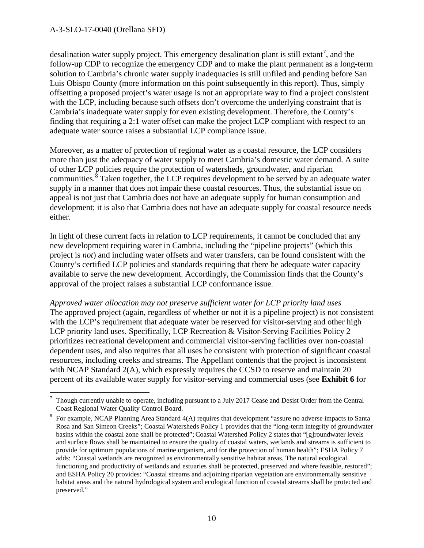desalination water supply project. This emergency desalination plant is still extant<sup>[7](#page-9-0)</sup>, and the follow-up CDP to recognize the emergency CDP and to make the plant permanent as a long-term solution to Cambria's chronic water supply inadequacies is still unfiled and pending before San Luis Obispo County (more information on this point subsequently in this report). Thus, simply offsetting a proposed project's water usage is not an appropriate way to find a project consistent with the LCP, including because such offsets don't overcome the underlying constraint that is Cambria's inadequate water supply for even existing development. Therefore, the County's finding that requiring a 2:1 water offset can make the project LCP compliant with respect to an adequate water source raises a substantial LCP compliance issue.

Moreover, as a matter of protection of regional water as a coastal resource, the LCP considers more than just the adequacy of water supply to meet Cambria's domestic water demand. A suite of other LCP policies require the protection of watersheds, groundwater, and riparian communities.<sup>[8](#page-9-1)</sup> Taken together, the LCP requires development to be served by an adequate water supply in a manner that does not impair these coastal resources. Thus, the substantial issue on appeal is not just that Cambria does not have an adequate supply for human consumption and development; it is also that Cambria does not have an adequate supply for coastal resource needs either.

In light of these current facts in relation to LCP requirements, it cannot be concluded that any new development requiring water in Cambria, including the "pipeline projects" (which this project is *not*) and including water offsets and water transfers, can be found consistent with the County's certified LCP policies and standards requiring that there be adequate water capacity available to serve the new development. Accordingly, the Commission finds that the County's approval of the project raises a substantial LCP conformance issue.

*Approved water allocation may not preserve sufficient water for LCP priority land uses*  The approved project (again, regardless of whether or not it is a pipeline project) is not consistent with the LCP's requirement that adequate water be reserved for visitor-serving and other high LCP priority land uses. Specifically, LCP Recreation & Visitor-Serving Facilities Policy 2 prioritizes recreational development and commercial visitor-serving facilities over non-coastal dependent uses, and also requires that all uses be consistent with protection of significant coastal resources, including creeks and streams. The Appellant contends that the project is inconsistent with NCAP Standard 2(A), which expressly requires the CCSD to reserve and maintain 20 percent of its available water supply for visitor-serving and commercial uses (see **Exhibit 6** for

<span id="page-9-0"></span> $\overline{a}$ 7 Though currently unable to operate, including pursuant to a July 2017 Cease and Desist Order from the Central Coast Regional Water Quality Control Board.

<span id="page-9-1"></span><sup>&</sup>lt;sup>8</sup> For example, NCAP Planning Area Standard 4(A) requires that development "assure no adverse impacts to Santa Rosa and San Simeon Creeks"; Coastal Watersheds Policy 1 provides that the "long-term integrity of groundwater basins within the coastal zone shall be protected"; Coastal Watershed Policy 2 states that "[g]roundwater levels and surface flows shall be maintained to ensure the quality of coastal waters, wetlands and streams is sufficient to provide for optimum populations of marine organism, and for the protection of human health"; ESHA Policy 7 adds: "Coastal wetlands are recognized as environmentally sensitive habitat areas. The natural ecological functioning and productivity of wetlands and estuaries shall be protected, preserved and where feasible, restored"; and ESHA Policy 20 provides: "Coastal streams and adjoining riparian vegetation are environmentally sensitive habitat areas and the natural hydrological system and ecological function of coastal streams shall be protected and preserved."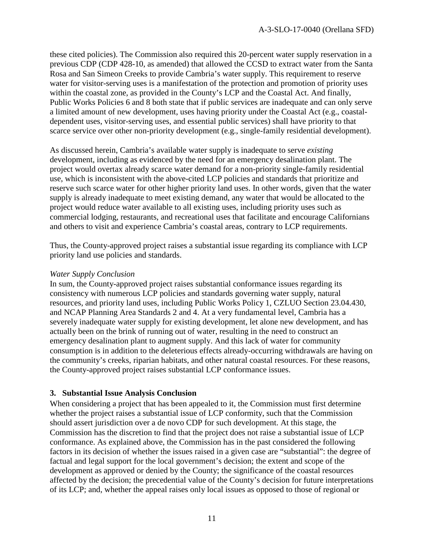these cited policies). The Commission also required this 20-percent water supply reservation in a previous CDP (CDP 428-10, as amended) that allowed the CCSD to extract water from the Santa Rosa and San Simeon Creeks to provide Cambria's water supply. This requirement to reserve water for visitor-serving uses is a manifestation of the protection and promotion of priority uses within the coastal zone, as provided in the County's LCP and the Coastal Act. And finally, Public Works Policies 6 and 8 both state that if public services are inadequate and can only serve a limited amount of new development, uses having priority under the Coastal Act (e.g., coastaldependent uses, visitor-serving uses, and essential public services) shall have priority to that scarce service over other non-priority development (e.g., single-family residential development).

As discussed herein, Cambria's available water supply is inadequate to serve *existing* development, including as evidenced by the need for an emergency desalination plant. The project would overtax already scarce water demand for a non-priority single-family residential use, which is inconsistent with the above-cited LCP policies and standards that prioritize and reserve such scarce water for other higher priority land uses. In other words, given that the water supply is already inadequate to meet existing demand, any water that would be allocated to the project would reduce water available to all existing uses, including priority uses such as commercial lodging, restaurants, and recreational uses that facilitate and encourage Californians and others to visit and experience Cambria's coastal areas, contrary to LCP requirements.

Thus, the County-approved project raises a substantial issue regarding its compliance with LCP priority land use policies and standards.

#### *Water Supply Conclusion*

In sum, the County-approved project raises substantial conformance issues regarding its consistency with numerous LCP policies and standards governing water supply, natural resources, and priority land uses, including Public Works Policy 1, CZLUO Section 23.04.430, and NCAP Planning Area Standards 2 and 4. At a very fundamental level, Cambria has a severely inadequate water supply for existing development, let alone new development, and has actually been on the brink of running out of water, resulting in the need to construct an emergency desalination plant to augment supply. And this lack of water for community consumption is in addition to the deleterious effects already-occurring withdrawals are having on the community's creeks, riparian habitats, and other natural coastal resources. For these reasons, the County-approved project raises substantial LCP conformance issues.

#### **3. Substantial Issue Analysis Conclusion**

When considering a project that has been appealed to it, the Commission must first determine whether the project raises a substantial issue of LCP conformity, such that the Commission should assert jurisdiction over a de novo CDP for such development. At this stage, the Commission has the discretion to find that the project does not raise a substantial issue of LCP conformance. As explained above, the Commission has in the past considered the following factors in its decision of whether the issues raised in a given case are "substantial": the degree of factual and legal support for the local government's decision; the extent and scope of the development as approved or denied by the County; the significance of the coastal resources affected by the decision; the precedential value of the County's decision for future interpretations of its LCP; and, whether the appeal raises only local issues as opposed to those of regional or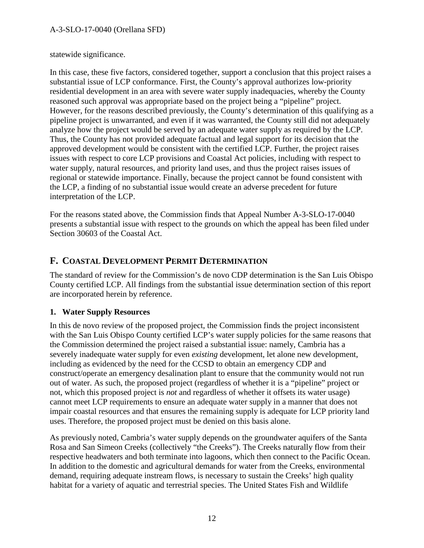statewide significance.

In this case, these five factors, considered together, support a conclusion that this project raises a substantial issue of LCP conformance. First, the County's approval authorizes low-priority residential development in an area with severe water supply inadequacies, whereby the County reasoned such approval was appropriate based on the project being a "pipeline" project. However, for the reasons described previously, the County's determination of this qualifying as a pipeline project is unwarranted, and even if it was warranted, the County still did not adequately analyze how the project would be served by an adequate water supply as required by the LCP. Thus, the County has not provided adequate factual and legal support for its decision that the approved development would be consistent with the certified LCP. Further, the project raises issues with respect to core LCP provisions and Coastal Act policies, including with respect to water supply, natural resources, and priority land uses, and thus the project raises issues of regional or statewide importance. Finally, because the project cannot be found consistent with the LCP, a finding of no substantial issue would create an adverse precedent for future interpretation of the LCP.

For the reasons stated above, the Commission finds that Appeal Number A-3-SLO-17-0040 presents a substantial issue with respect to the grounds on which the appeal has been filed under Section 30603 of the Coastal Act.

### **F. COASTAL DEVELOPMENT PERMIT DETERMINATION**

The standard of review for the Commission's de novo CDP determination is the San Luis Obispo County certified LCP. All findings from the substantial issue determination section of this report are incorporated herein by reference.

### **1. Water Supply Resources**

In this de novo review of the proposed project, the Commission finds the project inconsistent with the San Luis Obispo County certified LCP's water supply policies for the same reasons that the Commission determined the project raised a substantial issue: namely, Cambria has a severely inadequate water supply for even *existing* development, let alone new development, including as evidenced by the need for the CCSD to obtain an emergency CDP and construct/operate an emergency desalination plant to ensure that the community would not run out of water. As such, the proposed project (regardless of whether it is a "pipeline" project or not, which this proposed project is *not* and regardless of whether it offsets its water usage) cannot meet LCP requirements to ensure an adequate water supply in a manner that does not impair coastal resources and that ensures the remaining supply is adequate for LCP priority land uses. Therefore, the proposed project must be denied on this basis alone.

As previously noted, Cambria's water supply depends on the groundwater aquifers of the Santa Rosa and San Simeon Creeks (collectively "the Creeks"). The Creeks naturally flow from their respective headwaters and both terminate into lagoons, which then connect to the Pacific Ocean. In addition to the domestic and agricultural demands for water from the Creeks, environmental demand, requiring adequate instream flows, is necessary to sustain the Creeks' high quality habitat for a variety of aquatic and terrestrial species. The United States Fish and Wildlife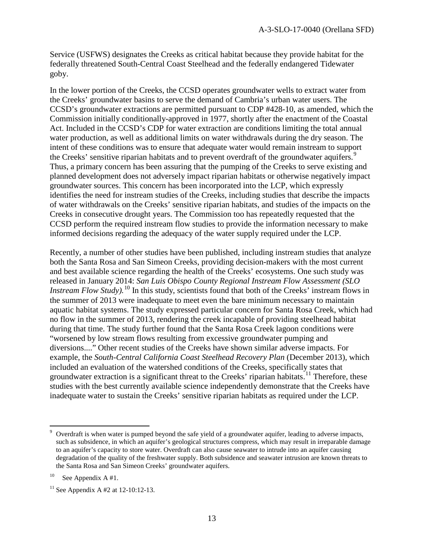Service (USFWS) designates the Creeks as critical habitat because they provide habitat for the federally threatened South-Central Coast Steelhead and the federally endangered Tidewater goby.

In the lower portion of the Creeks, the CCSD operates groundwater wells to extract water from the Creeks' groundwater basins to serve the demand of Cambria's urban water users. The CCSD's groundwater extractions are permitted pursuant to CDP #428-10, as amended, which the Commission initially conditionally-approved in 1977, shortly after the enactment of the Coastal Act. Included in the CCSD's CDP for water extraction are conditions limiting the total annual water production, as well as additional limits on water withdrawals during the dry season. The intent of these conditions was to ensure that adequate water would remain instream to support the Creeks' sensitive riparian habitats and to prevent overdraft of the groundwater aquifers.<sup>[9](#page-12-0)</sup> Thus, a primary concern has been assuring that the pumping of the Creeks to serve existing and planned development does not adversely impact riparian habitats or otherwise negatively impact groundwater sources. This concern has been incorporated into the LCP, which expressly identifies the need for instream studies of the Creeks, including studies that describe the impacts of water withdrawals on the Creeks' sensitive riparian habitats, and studies of the impacts on the Creeks in consecutive drought years. The Commission too has repeatedly requested that the CCSD perform the required instream flow studies to provide the information necessary to make informed decisions regarding the adequacy of the water supply required under the LCP.

Recently, a number of other studies have been published, including instream studies that analyze both the Santa Rosa and San Simeon Creeks, providing decision-makers with the most current and best available science regarding the health of the Creeks' ecosystems. One such study was released in January 2014: *San Luis Obispo County Regional Instream Flow Assessment (SLO Instream Flow Study*).<sup>[10](#page-12-1)</sup> In this study, scientists found that both of the Creeks' instream flows in the summer of 2013 were inadequate to meet even the bare minimum necessary to maintain aquatic habitat systems. The study expressed particular concern for Santa Rosa Creek, which had no flow in the summer of 2013, rendering the creek incapable of providing steelhead habitat during that time. The study further found that the Santa Rosa Creek lagoon conditions were "worsened by low stream flows resulting from excessive groundwater pumping and diversions...." Other recent studies of the Creeks have shown similar adverse impacts. For example, the *South-Central California Coast Steelhead Recovery Plan* (December 2013), which included an evaluation of the watershed conditions of the Creeks, specifically states that groundwater extraction is a significant threat to the Creeks' riparian habitats.<sup>[11](#page-12-2)</sup> Therefore, these studies with the best currently available science independently demonstrate that the Creeks have inadequate water to sustain the Creeks' sensitive riparian habitats as required under the LCP.

 $\overline{a}$ 

<span id="page-12-0"></span><sup>9</sup> Overdraft is when water is pumped beyond the safe yield of a groundwater aquifer, leading to adverse impacts, such as subsidence, in which an aquifer's geological structures compress, which may result in irreparable damage to an aquifer's capacity to store water. Overdraft can also cause seawater to intrude into an aquifer causing degradation of the quality of the freshwater supply. Both subsidence and seawater intrusion are known threats to the Santa Rosa and San Simeon Creeks' groundwater aquifers.

<span id="page-12-1"></span><sup>&</sup>lt;sup>10</sup> See Appendix A #1.

<span id="page-12-2"></span><sup>&</sup>lt;sup>11</sup> See Appendix A #2 at 12-10:12-13.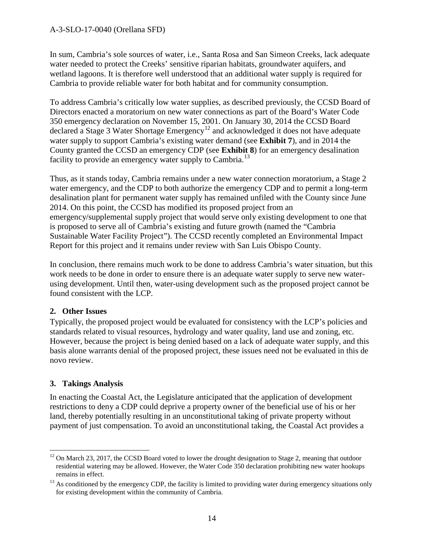In sum, Cambria's sole sources of water, i.e., Santa Rosa and San Simeon Creeks, lack adequate water needed to protect the Creeks' sensitive riparian habitats, groundwater aquifers, and wetland lagoons. It is therefore well understood that an additional water supply is required for Cambria to provide reliable water for both habitat and for community consumption.

To address Cambria's critically low water supplies, as described previously, the CCSD Board of Directors enacted a moratorium on new water connections as part of the Board's Water Code 350 emergency declaration on November 15, 2001. On January 30, 2014 the CCSD Board declared a Stage 3 Water Shortage Emergency<sup>12</sup> and acknowledged it does not have adequate water supply to support Cambria's existing water demand (see **Exhibit 7**), and in 2014 the County granted the CCSD an emergency CDP (see **Exhibit 8**) for an emergency desalination facility to provide an emergency water supply to Cambria.<sup>13</sup>

Thus, as it stands today, Cambria remains under a new water connection moratorium, a Stage 2 water emergency, and the CDP to both authorize the emergency CDP and to permit a long-term desalination plant for permanent water supply has remained unfiled with the County since June 2014. On this point, the CCSD has modified its proposed project from an emergency/supplemental supply project that would serve only existing development to one that is proposed to serve all of Cambria's existing and future growth (named the "Cambria Sustainable Water Facility Project"). The CCSD recently completed an Environmental Impact Report for this project and it remains under review with San Luis Obispo County.

In conclusion, there remains much work to be done to address Cambria's water situation, but this work needs to be done in order to ensure there is an adequate water supply to serve new waterusing development. Until then, water-using development such as the proposed project cannot be found consistent with the LCP.

#### **2. Other Issues**

Typically, the proposed project would be evaluated for consistency with the LCP's policies and standards related to visual resources, hydrology and water quality, land use and zoning, etc. However, because the project is being denied based on a lack of adequate water supply, and this basis alone warrants denial of the proposed project, these issues need not be evaluated in this de novo review.

#### **3. Takings Analysis**

In enacting the Coastal Act, the Legislature anticipated that the application of development restrictions to deny a CDP could deprive a property owner of the beneficial use of his or her land, thereby potentially resulting in an unconstitutional taking of private property without payment of just compensation. To avoid an unconstitutional taking, the Coastal Act provides a

<span id="page-13-0"></span> $\overline{a}$  $12$  On March 23, 2017, the CCSD Board voted to lower the drought designation to Stage 2, meaning that outdoor residential watering may be allowed. However, the Water Code 350 declaration prohibiting new water hookups remains in effect.

<span id="page-13-1"></span> $13$  As conditioned by the emergency CDP, the facility is limited to providing water during emergency situations only for existing development within the community of Cambria.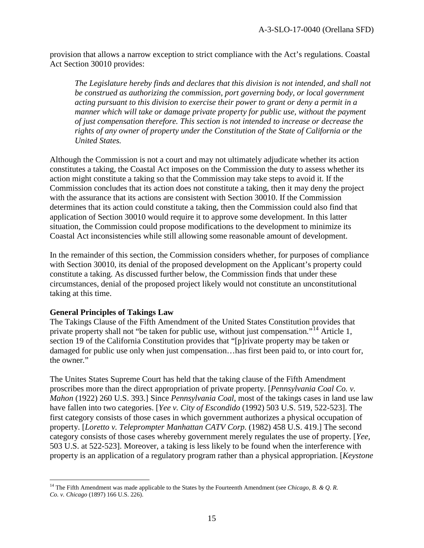provision that allows a narrow exception to strict compliance with the Act's regulations. Coastal Act Section 30010 provides:

*The Legislature hereby finds and declares that this division is not intended, and shall not be construed as authorizing the commission, port governing body, or local government acting pursuant to this division to exercise their power to grant or deny a permit in a manner which will take or damage private property for public use, without the payment of just compensation therefore. This section is not intended to increase or decrease the rights of any owner of property under the Constitution of the State of California or the United States.* 

Although the Commission is not a court and may not ultimately adjudicate whether its action constitutes a taking, the Coastal Act imposes on the Commission the duty to assess whether its action might constitute a taking so that the Commission may take steps to avoid it. If the Commission concludes that its action does not constitute a taking, then it may deny the project with the assurance that its actions are consistent with Section 30010. If the Commission determines that its action could constitute a taking, then the Commission could also find that application of Section 30010 would require it to approve some development. In this latter situation, the Commission could propose modifications to the development to minimize its Coastal Act inconsistencies while still allowing some reasonable amount of development.

In the remainder of this section, the Commission considers whether, for purposes of compliance with Section 30010, its denial of the proposed development on the Applicant's property could constitute a taking. As discussed further below, the Commission finds that under these circumstances, denial of the proposed project likely would not constitute an unconstitutional taking at this time.

#### **General Principles of Takings Law**

The Takings Clause of the Fifth Amendment of the United States Constitution provides that private property shall not "be taken for public use, without just compensation*.*"[14](#page-14-0) Article 1, section 19 of the California Constitution provides that "[p]rivate property may be taken or damaged for public use only when just compensation…has first been paid to, or into court for, the owner*.*"

The Unites States Supreme Court has held that the taking clause of the Fifth Amendment proscribes more than the direct appropriation of private property. [*Pennsylvania Coal Co. v. Mahon* (1922) 260 U.S. 393.] Since *Pennsylvania Coal*, most of the takings cases in land use law have fallen into two categories. [*Yee v. City of Escondido* (1992) 503 U.S. 519, 522-523]. The first category consists of those cases in which government authorizes a physical occupation of property. [*Loretto v. Teleprompter Manhattan CATV Corp.* (1982) 458 U.S. 419.] The second category consists of those cases whereby government merely regulates the use of property. [*Yee,*  503 U.S. at 522-523]. Moreover, a taking is less likely to be found when the interference with property is an application of a regulatory program rather than a physical appropriation. [*Keystone* 

<span id="page-14-0"></span> $\overline{a}$ <sup>14</sup> The Fifth Amendment was made applicable to the States by the Fourteenth Amendment (see *Chicago, B. & Q. R. Co. v. Chicago* (1897) 166 U.S. 226).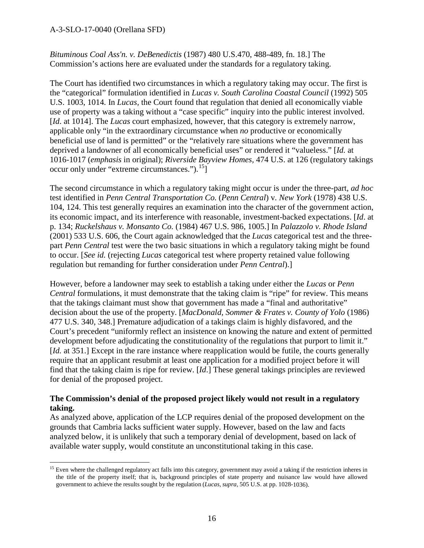*Bituminous Coal Ass'n. v. DeBenedictis* (1987) 480 U.S.470, 488-489, fn. 18.] The Commission's actions here are evaluated under the standards for a regulatory taking.

The Court has identified two circumstances in which a regulatory taking may occur. The first is the "categorical" formulation identified in *Lucas v. South Carolina Coastal Council* (1992) 505 U.S. 1003, 1014*.* In *Lucas,* the Court found that regulation that denied all economically viable use of property was a taking without a "case specific" inquiry into the public interest involved. [*Id*. at 1014]. The *Lucas* court emphasized, however, that this category is extremely narrow, applicable only "in the extraordinary circumstance when *no* productive or economically beneficial use of land is permitted" or the "relatively rare situations where the government has deprived a landowner of all economically beneficial uses" or rendered it "valueless." [*Id.* at 1016-1017 (*emphasis* in original); *Riverside Bayview Homes,* 474 U.S. at 126 (regulatory takings occur only under "extreme circumstances."). $15$ ]

The second circumstance in which a regulatory taking might occur is under the three-part, *ad hoc* test identified in *Penn Central Transportation Co.* (*Penn Central*) v*. New York* (1978) 438 U.S. 104, 124. This test generally requires an examination into the character of the government action, its economic impact, and its interference with reasonable, investment-backed expectations. [*Id*. at p. 134; *Ruckelshaus v. Monsanto Co.* (1984) 467 U.S. 986, 1005.] In *Palazzolo v. Rhode Island*  (2001) 533 U.S. 606, the Court again acknowledged that the *Lucas* categorical test and the threepart *Penn Central* test were the two basic situations in which a regulatory taking might be found to occur. [*See id.* (rejecting *Lucas* categorical test where property retained value following regulation but remanding for further consideration under *Penn Central*).]

However, before a landowner may seek to establish a taking under either the *Lucas* or *Penn Central* formulations, it must demonstrate that the taking claim is "ripe" for review. This means that the takings claimant must show that government has made a "final and authoritative" decision about the use of the property. [*MacDonald, Sommer & Frates v. County of Yolo* (1986) 477 U.S. 340, 348.] Premature adjudication of a takings claim is highly disfavored, and the Court's precedent "uniformly reflect an insistence on knowing the nature and extent of permitted development before adjudicating the constitutionality of the regulations that purport to limit it." [*Id.* at 351.] Except in the rare instance where reapplication would be futile, the courts generally require that an applicant resubmit at least one application for a modified project before it will find that the taking claim is ripe for review. [*Id*.] These general takings principles are reviewed for denial of the proposed project.

#### **The Commission's denial of the proposed project likely would not result in a regulatory taking.**

As analyzed above, application of the LCP requires denial of the proposed development on the grounds that Cambria lacks sufficient water supply. However, based on the law and facts analyzed below, it is unlikely that such a temporary denial of development, based on lack of available water supply, would constitute an unconstitutional taking in this case.

<span id="page-15-0"></span> $\overline{a}$ <sup>15</sup> Even where the challenged regulatory act falls into this category, government may avoid a taking if the restriction inheres in the title of the property itself; that is, background principles of state property and nuisance law would have allowed government to achieve the results sought by the regulation (*Lucas, supra,* 505 U.S. at pp. 1028-1036).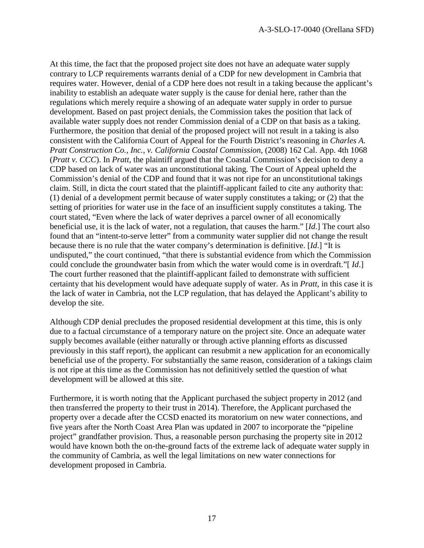At this time, the fact that the proposed project site does not have an adequate water supply contrary to LCP requirements warrants denial of a CDP for new development in Cambria that requires water. However, denial of a CDP here does not result in a taking because the applicant's inability to establish an adequate water supply is the cause for denial here, rather than the regulations which merely require a showing of an adequate water supply in order to pursue development. Based on past project denials, the Commission takes the position that lack of available water supply does not render Commission denial of a CDP on that basis as a taking. Furthermore, the position that denial of the proposed project will not result in a taking is also consistent with the California Court of Appeal for the Fourth District's reasoning in *Charles A. Pratt Construction Co., Inc., v. California Coastal Commission*, (2008) 162 Cal. App. 4th 1068 (*Pratt v. CCC*). In *Pratt*, the plaintiff argued that the Coastal Commission's decision to deny a CDP based on lack of water was an unconstitutional taking. The Court of Appeal upheld the Commission's denial of the CDP and found that it was not ripe for an unconstitutional takings claim. Still, in dicta the court stated that the plaintiff-applicant failed to cite any authority that: (1) denial of a development permit because of water supply constitutes a taking; or (2) that the setting of priorities for water use in the face of an insufficient supply constitutes a taking. The court stated, "Even where the lack of water deprives a parcel owner of all economically beneficial use, it is the lack of water, not a regulation, that causes the harm." [*Id*.] The court also found that an "intent-to-serve letter" from a community water supplier did not change the result because there is no rule that the water company's determination is definitive. [*Id*.] "It is undisputed," the court continued, "that there is substantial evidence from which the Commission could conclude the groundwater basin from which the water would come is in overdraft."[ *Id*.] The court further reasoned that the plaintiff-applicant failed to demonstrate with sufficient certainty that his development would have adequate supply of water. As in *Pratt*, in this case it is the lack of water in Cambria, not the LCP regulation, that has delayed the Applicant's ability to develop the site.

Although CDP denial precludes the proposed residential development at this time, this is only due to a factual circumstance of a temporary nature on the project site. Once an adequate water supply becomes available (either naturally or through active planning efforts as discussed previously in this staff report), the applicant can resubmit a new application for an economically beneficial use of the property. For substantially the same reason, consideration of a takings claim is not ripe at this time as the Commission has not definitively settled the question of what development will be allowed at this site.

Furthermore, it is worth noting that the Applicant purchased the subject property in 2012 (and then transferred the property to their trust in 2014). Therefore, the Applicant purchased the property over a decade after the CCSD enacted its moratorium on new water connections, and five years after the North Coast Area Plan was updated in 2007 to incorporate the "pipeline project" grandfather provision. Thus, a reasonable person purchasing the property site in 2012 would have known both the on-the-ground facts of the extreme lack of adequate water supply in the community of Cambria, as well the legal limitations on new water connections for development proposed in Cambria.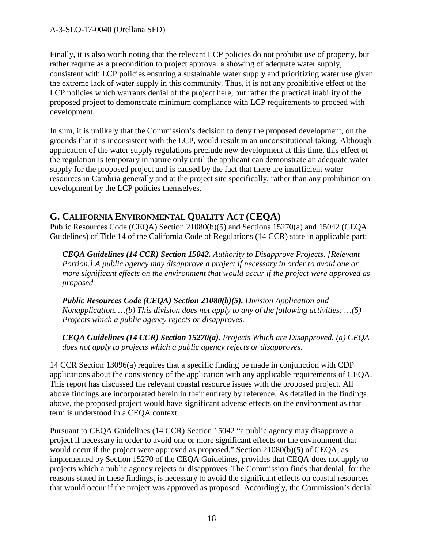Finally, it is also worth noting that the relevant LCP policies do not prohibit use of property, but rather require as a precondition to project approval a showing of adequate water supply, consistent with LCP policies ensuring a sustainable water supply and prioritizing water use given the extreme lack of water supply in this community. Thus, it is not any prohibitive effect of the LCP policies which warrants denial of the project here, but rather the practical inability of the proposed project to demonstrate minimum compliance with LCP requirements to proceed with development.

In sum, it is unlikely that the Commission's decision to deny the proposed development, on the grounds that it is inconsistent with the LCP, would result in an unconstitutional taking. Although application of the water supply regulations preclude new development at this time, this effect of the regulation is temporary in nature only until the applicant can demonstrate an adequate water supply for the proposed project and is caused by the fact that there are insufficient water resources in Cambria generally and at the project site specifically, rather than any prohibition on development by the LCP policies themselves.

### **G. CALIFORNIA ENVIRONMENTAL QUALITY ACT (CEQA)**

Public Resources Code (CEQA) Section 21080(b)(5) and Sections 15270(a) and 15042 (CEQA Guidelines) of Title 14 of the California Code of Regulations (14 CCR) state in applicable part:

*CEQA Guidelines (14 CCR) Section 15042. Authority to Disapprove Projects. [Relevant Portion.] A public agency may disapprove a project if necessary in order to avoid one or more significant effects on the environment that would occur if the project were approved as proposed.* 

*Public Resources Code (CEQA) Section 21080(b)(5). Division Application and Nonapplication. …(b) This division does not apply to any of the following activities: …(5) Projects which a public agency rejects or disapproves.* 

*CEQA Guidelines (14 CCR) Section 15270(a). Projects Which are Disapproved. (a) CEQA does not apply to projects which a public agency rejects or disapproves.* 

14 CCR Section 13096(a) requires that a specific finding be made in conjunction with CDP applications about the consistency of the application with any applicable requirements of CEQA. This report has discussed the relevant coastal resource issues with the proposed project. All above findings are incorporated herein in their entirety by reference. As detailed in the findings above, the proposed project would have significant adverse effects on the environment as that term is understood in a CEQA context.

Pursuant to CEQA Guidelines (14 CCR) Section 15042 "a public agency may disapprove a project if necessary in order to avoid one or more significant effects on the environment that would occur if the project were approved as proposed." Section 21080(b)(5) of CEQA, as implemented by Section 15270 of the CEQA Guidelines, provides that CEQA does not apply to projects which a public agency rejects or disapproves. The Commission finds that denial, for the reasons stated in these findings, is necessary to avoid the significant effects on coastal resources that would occur if the project was approved as proposed. Accordingly, the Commission's denial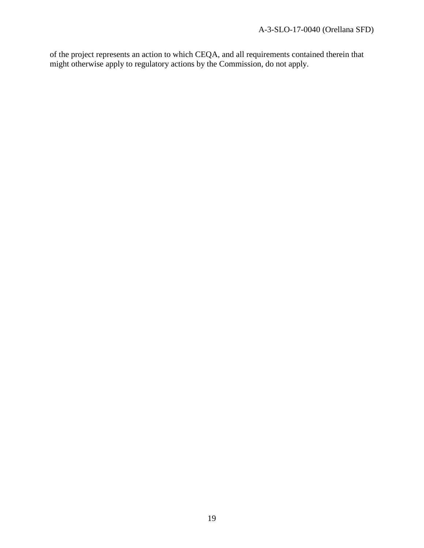of the project represents an action to which CEQA, and all requirements contained therein that might otherwise apply to regulatory actions by the Commission, do not apply.